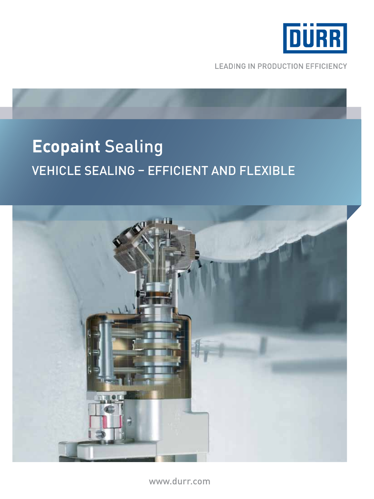

**LEADING IN PRODUCTION EFFICIENCY** 

# **Ecopaint** Sealing Vehicle Sealing – Efficient and Flexible



www.durr.com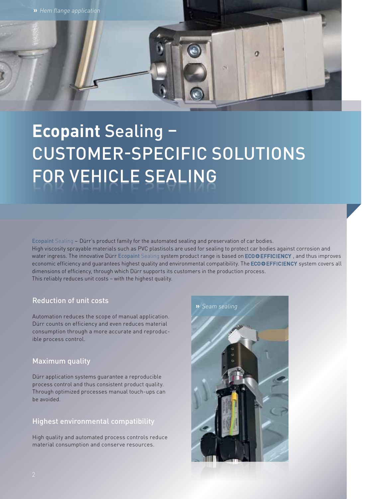

# **Ecopaint** Sealing – Customer-specific Solutions FOR VEHICLE SEALING

Ecopaint Sealing – Dürr's product family for the automated sealing and preservation of car bodies.

High viscosity sprayable materials such as PVC plastisols are used for sealing to protect car bodies against corrosion and water ingress. The innovative Dürr Ecopaint Sealing system product range is based on ECOOEFFICIENCY, and thus improves economic efficiency and guarantees highest quality and environmental compatibility. The ECOOEFFICIENCY system covers all dimensions of efficiency, through which Dürr supports its customers in the production process.

This reliably reduces unit costs – with the highest quality.

# Reduction of unit costs

Automation reduces the scope of manual application. Dürr counts on efficiency and even reduces material consumption through a more accurate and reproducible process control.

# Maximum quality

Dürr application systems guarantee a reproducible process control and thus consistent product quality. Through optimized processes manual touch-ups can be avoided.

## Highest environmental compatibility

High quality and automated process controls reduce material consumption and conserve resources.

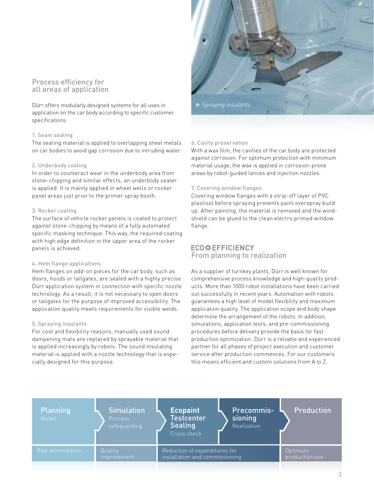#### Process efficiency for all areas of application

Dürr offers modularly designed systems for all uses in application on the car body according to specific customer specifications:

#### 1. Seam sealing

The sealing material is applied to overlapping sheet metals on car bodies to avoid gap corrosion due to intruding water.

#### 2. Underbody coating

In order to counteract wear in the underbody area from stone-chipping and similar effects, an underbody sealer is applied. It is mainly applied in wheel wells or rocker panel areas just prior to the primer spray booth.

#### 3. Rocker coating

The surface of vehicle rocker panels is coated to protect against stone-chipping by means of a fully automated specific masking technique. This way, the required coating with high edge definition in the upper area of the rocker panels is achieved.

#### 4. Hem flange applications

Hem flanges on add-on pieces for the car body, such as doors, hoods or tailgates, are sealed with a highly precise Dürr application system in connection with specific nozzle technology. As a result, it is not necessary to open doors or tailgates for the purpose of improved accessibility. The application quality meets requirements for visible welds.

#### 5. Spraying insulants

For cost and flexibility reasons, manually used sound dampening mats are replaced by sprayable material that is applied increasingly by robots. The sound insulating material is applied with a nozzle technology that is especially designed for this purpose.



#### 6. Cavity preservation

With a wax film, the cavities of the car body are protected against corrosion. For optimum protection with minimum material usage, the wax is applied in corrosion-prone areas by robot-guided lances and injection nozzles.

#### 7. Covering window flanges

Covering window flanges with a strip-off layer of PVC plastisol before spraying prevents paint overspray build up. After painting, the material is removed and the windshield can be glued to the clean electro primed window flange.

#### **ECOO EFFICIENCY** From planning to realization

As a supplier of turnkey plants, Dürr is well known for comprehensive process knowledge and high-quality products. More than 1000 robot installations have been carried out successfully in recent years. Automation with robots guarantees a high level of model flexibility and maximum application quality. The application scope and body shape determine the arrangement of the robots. In addition, simulations, application tests, and pre-commissioning procedures before delivery provide the basis for fast production optimization. Dürr is a reliable and experienced partner for all phases of project execution and customer service after production commences. For our customers this means efficient and custom solutions from A to Z.

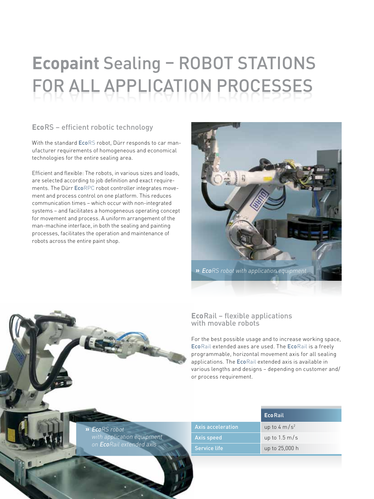# **Ecopaint Sealing - ROBOT STATIONS** FOR ALL APPLICATION PROCESSES

# **Eco**RS – efficient robotic technology

With the standard EcoRS robot, Dürr responds to car manufacturer requirements of homogeneous and economical technologies for the entire sealing area.

Efficient and flexible: The robots, in various sizes and loads, are selected according to job definition and exact requirements. The Dürr EcoRPC robot controller integrates movement and process control on one platform. This reduces communication times – which occur with non-integrated systems – and facilitates a homogeneous operating concept for movement and process. A uniform arrangement of the man-machine interface, in both the sealing and painting processes, facilitates the operation and maintenance of robots across the entire paint shop.



## **Eco**Rail – flexible applications with movable robots

For the best possible usage and to increase working space, EcoRail extended axes are used. The EcoRail is a freely programmable, horizontal movement axis for all sealing applications. The EcoRail extended axis is available in various lengths and designs – depending on customer and/ or process requirement.

| » EcoRS robot                    |
|----------------------------------|
| with application equipment       |
| on <b>Eco</b> Rail extended axis |

4

|                   | <b>EcoRail</b>           |
|-------------------|--------------------------|
| Axis acceleration | up to 4 m/s <sup>2</sup> |
| Axis speed        | up to $1.5 \text{ m/s}$  |
| Service life      | up to 25,000 h           |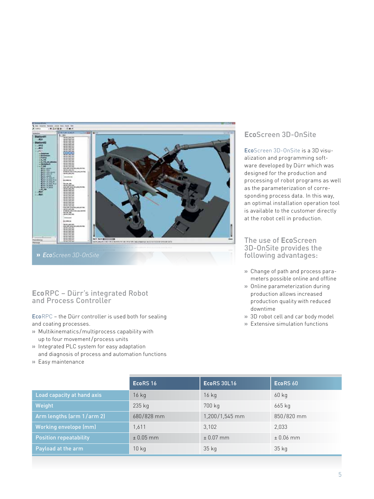

**»** *EcoScreen 3D-OnSite*

#### **Eco**RPC – Dürr's integrated Robot and Process Controller

EcoRPC – the Dürr controller is used both for sealing and coating processes.

- **»** Multikinematics/multiprocess capability with up to four movement/process units
- **»** Integrated PLC system for easy adaptation
- and diagnosis of process and automation functions
- **»** Easy maintenance

# **Eco**Screen 3D-OnSite

EcoScreen 3D-OnSite is a 3D visualization and programming software developed by Dürr which was designed for the production and processing of robot programs as well as the parameterization of corresponding process data. In this way, an optimal installation operation tool is available to the customer directly at the robot cell in production.

#### The use of **Eco**Screen 3D-OnSite provides the following advantages:

- **»** Change of path and process parameters possible online and offline
- **»** Online parameterization during production allows increased production quality with reduced downtime
- **»** 3D robot cell and car body model
- **»** Extensive simulation functions

|                               | EcoRS <sub>16</sub> | <b>EcoRS 30L16</b> | EcoRS 60      |
|-------------------------------|---------------------|--------------------|---------------|
| Load capacity at hand axis    | $16$ kg             | $16$ kg            | $60$ kg       |
| Weight                        | 235 kg              | 700 kg             | 665 kg        |
| Arm lengths (arm 1/arm 2)     | 680/828 mm          | 1,200/1,545 mm     | 850/820 mm    |
| Working envelope (mm)         | 1.611               | 3,102              | 2,033         |
| <b>Position repeatability</b> | $± 0.05$ mm         | $\pm 0.07$ mm      | $\pm 0.06$ mm |
| Payload at the arm            | $10$ kg             | $35$ kg            | $35$ kg       |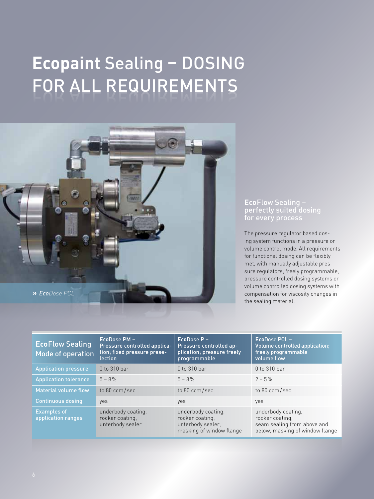# **Ecopaint** Sealing **–** Dosing FOR ALL REQUIREMENTS



#### **Eco**Flow Sealing – perfectly suited dosing for every process

The pressure regulator based dosing system functions in a pressure or volume control mode. All requirements for functional dosing can be flexibly met, with manually adjustable pressure regulators, freely programmable, pressure controlled dosing systems or volume controlled dosing systems with compensation for viscosity changes in the sealing material.

| <b>EcoFlow Sealing</b><br>Mode of operation | EcoDose PM -<br>Pressure controlled applica-<br>tion; fixed pressure prese-<br><b>lection</b> | $Ecobose P -$<br>Pressure controlled ap-<br>plication; pressure freely<br>programmable | EcoDose PCL -<br>Volume controlled application:<br>freely programmable<br>volume flow                   |
|---------------------------------------------|-----------------------------------------------------------------------------------------------|----------------------------------------------------------------------------------------|---------------------------------------------------------------------------------------------------------|
| <b>Application pressure</b>                 | $0$ to 310 bar                                                                                | $0$ to 310 bar                                                                         | $0$ to 310 bar                                                                                          |
| <b>Application tolerance</b>                | $5 - 8\%$                                                                                     | $5 - 8\%$                                                                              | $2 - 5\%$                                                                                               |
| <b>Material volume flow</b>                 | to 80 ccm/sec                                                                                 | to 80 ccm/sec                                                                          | to 80 ccm/sec                                                                                           |
| <b>Continuous dosing</b>                    | yes                                                                                           | yes                                                                                    | yes                                                                                                     |
| <b>Examples of</b><br>application ranges    | underbody coating,<br>rocker coating,<br>unterbody sealer                                     | underbody coating,<br>rocker coating,<br>unterbody sealer,<br>masking of window flange | underbody coating,<br>rocker coating,<br>seam sealing from above and<br>below, masking of window flange |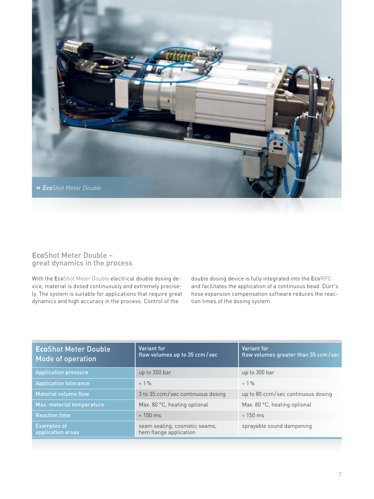

#### **Eco**Shot Meter Double – great dynamics in the process

With the EcoShot Meter Double electrical double dosing device, material is dosed continuously and extremely precisely. The system is suitable for applications that require great dynamics and high accuracy in the process. Control of the

double dosing device is fully integrated into the EcoRPC and facilitates the application of a continuous bead. Dürr's hose expansion compensation software reduces the reaction times of the dosing system.

| <b>EcoShot Meter Double</b><br>Mode of operation | Variant for<br>flow volumes up to 35 ccm/sec            | Variant for<br>flow volumes greater than 35 ccm/sec |
|--------------------------------------------------|---------------------------------------------------------|-----------------------------------------------------|
| <b>Application pressure</b>                      | up to 350 bar                                           | up to 300 bar                                       |
| <b>Application tolerance</b>                     | $< 1\%$                                                 | $< 1\%$                                             |
| Material volume flow                             | 3 to 35 ccm/sec continuous dosing                       | up to 80 ccm/sec continuous dosing                  |
| Max. material temperature                        | Max. 80 °C, heating optional                            | Max. 80 °C, heating optional                        |
| <b>Reaction time</b>                             | $< 150$ ms                                              | $< 150$ ms                                          |
| <b>Examples of</b><br>application areas          | seam sealing, cosmetic seams,<br>hem flange application | sprayable sound dampening                           |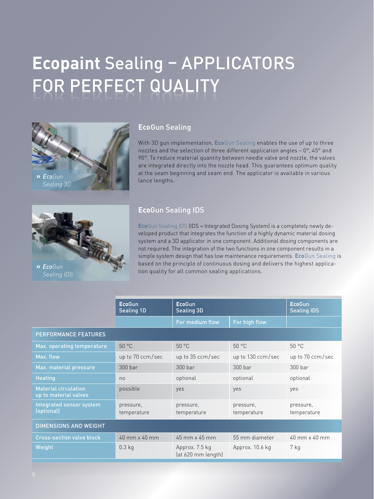# **Ecopaint Sealing - APPLICATORS** FOR PERFECT QUALITY



### **Eco**Gun Sealing

With 3D gun implementation, EcoGun Sealing enables the use of up to three nozzles and the selection of three different application angles – 0°, 45° and 90°. To reduce material quantity between needle valve and nozzle, the valves are integrated directly into the nozzle head. This guarantees optimum quality at the seam beginning and seam end. The applicator is available in various lance lengths.



# **Eco**Gun Sealing IDS

EcoGun Sealing IDS (IDS = Integrated Dosing System) is a completely newly developed product that integrates the function of a highly dynamic material dosing system and a 3D applicator in one component. Additional dosing components are not required. The integration of the two functions in one component results in a simple system design that has low maintenance requirements. EcoGun Sealing is based on the principle of continuous dosing and delivers the highest application quality for all common sealing applications.

|                                                      | <b>EcoGun</b><br><b>Sealing 1D</b> | <b>EcoGun</b><br><b>Sealing 3D</b>   |                          | <b>EcoGun</b><br><b>Sealing IDS</b> |  |
|------------------------------------------------------|------------------------------------|--------------------------------------|--------------------------|-------------------------------------|--|
|                                                      |                                    | For medium flow                      | For high flow            |                                     |  |
| PERFORMANCE FEATURES                                 |                                    |                                      |                          |                                     |  |
| Max. operating temperature                           | 50 °C                              | 50 °C                                | 50 °C                    | 50 °C                               |  |
| Max. flow                                            | up to 70 ccm/sec                   | up to $35$ ccm/sec                   | up to 130 ccm/sec        | up to $70$ ccm/sec                  |  |
| Max. material pressure                               | $300$ bar                          | $300$ bar                            | $300$ bar                | 300 <sub>bar</sub>                  |  |
| <b>Heating</b>                                       | n <sub>0</sub>                     | optional                             | optional                 | optional                            |  |
| <b>Material circulation</b><br>up to material valves | possible                           | yes                                  | yes                      | yes                                 |  |
| Integrated sensor system<br>(optional)               | pressure,<br>temperature           | pressure,<br>temperature             | pressure,<br>temperature | pressure,<br>temperature            |  |
| <b>DIMENSIONS AND WEIGHT</b>                         |                                    |                                      |                          |                                     |  |
| <b>Cross-section valve block</b>                     | $40$ mm $\times$ 40 mm             | $45$ mm $\times$ 45 mm               | 55 mm diameter           | 40 mm x 40 mm                       |  |
| Weight                                               | $0.3$ kg                           | Approx. 7.5 kg<br>(at 620 mm length) | Approx. 10.6 kg          | 7 kg                                |  |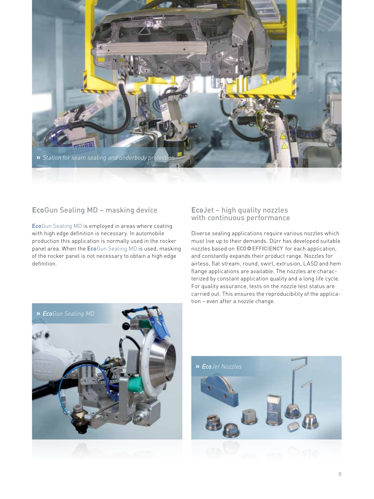

### **Eco**Gun Sealing MD – masking device

EcoGun Sealing MD is employed in areas where coating with high edge definition is necessary. In automobile production this application is normally used in the rocker panel area. When the EcoGun Sealing MD is used, masking of the rocker panel is not necessary to obtain a high edge definition.

#### **Eco**Jet – high quality nozzles with continuous performance

Diverse sealing applications require various nozzles which must live up to their demands. Dürr has developed suitable nozzles based on ECOOEFFICIENCY for each application, and constantly expands their product range. Nozzles for airless, flat stream, round, swirl, extrusion, LASD and hem flange applications are available. The nozzles are characterized by constant application quality and a long life cycle. For quality assurance, tests on the nozzle test status are carried out. This ensures the reproducibility of the application – even after a nozzle change.



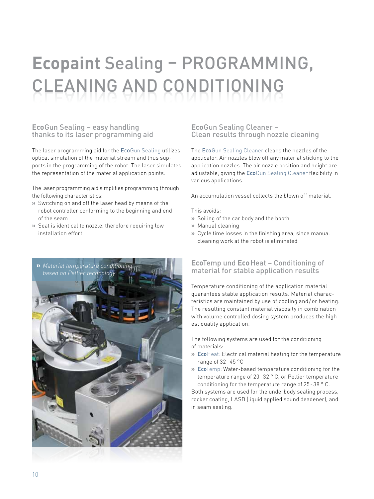# **Ecopaint Sealing - PROGRAMMING,** cleaning and conditioning

#### **Eco**Gun Sealing – easy handling thanks to its laser programming aid

The laser programming aid for the EcoGun Sealing utilizes optical simulation of the material stream and thus supports in the programming of the robot. The laser simulates the representation of the material application points.

The laser programming aid simplifies programming through the following characteristics:

- **»** Switching on and off the laser head by means of the robot controller conforming to the beginning and end of the seam
- **»** Seat is identical to nozzle, therefore requiring low installation effort



#### **Eco**Gun Sealing Cleaner – Clean results through nozzle cleaning

The EcoGun Sealing Cleaner cleans the nozzles of the applicator. Air nozzles blow off any material sticking to the application nozzles. The air nozzle position and height are adjustable, giving the EcoGun Sealing Cleaner flexibility in various applications.

An accumulation vessel collects the blown off material.

This avoids:

- **»** Soiling of the car body and the booth
- **»** Manual cleaning
- **»** Cycle time losses in the finishing area, since manual cleaning work at the robot is eliminated

### **Eco**Temp und **Eco**Heat – Conditioning of material for stable application results

Temperature conditioning of the application material guarantees stable application results. Material characteristics are maintained by use of cooling and / or heating. The resulting constant material viscosity in combination with volume controlled dosing system produces the highest quality application.

The following systems are used for the conditioning of materials:

- **»** EcoHeat: Electrical material heating for the temperature range of 32-45 °C
- **»** EcoTemp: Water-based temperature conditioning for the temperature range of 20-32 ° C, or Peltier temperature conditioning for the temperature range of 25-38 ° C.

Both systems are used for the underbody sealing process, rocker coating, LASD (liquid applied sound deadener), and in seam sealing.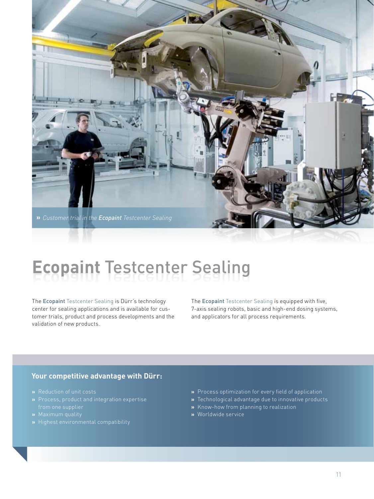

# **Ecopaint Testcenter Sealing**

The Ecopaint Testcenter Sealing is Dürr's technology center for sealing applications and is available for customer trials, product and process developments and the validation of new products.

The Ecopaint Testcenter Sealing is equipped with five, 7-axis sealing robots, basic and high-end dosing systems, and applicators for all process requirements.

#### **Your competitive advantage with Dürr:**

- **»** Reduction of unit costs
- from one supplier
- 
- 
- **»** Process optimization for every field of application
- **»** Technological advantage due to innovative products
- **»** Know-how from planning to realization
- **»** Worldwide service